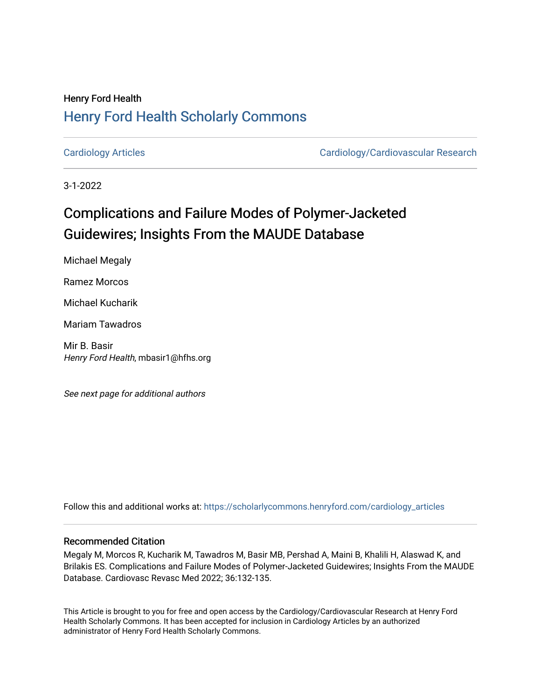## Henry Ford Health [Henry Ford Health Scholarly Commons](https://scholarlycommons.henryford.com/)

[Cardiology Articles](https://scholarlycommons.henryford.com/cardiology_articles) [Cardiology/Cardiovascular Research](https://scholarlycommons.henryford.com/cardiology) 

3-1-2022

# Complications and Failure Modes of Polymer-Jacketed Guidewires; Insights From the MAUDE Database

Michael Megaly Ramez Morcos

Michael Kucharik

Mariam Tawadros

Mir B. Basir Henry Ford Health, mbasir1@hfhs.org

See next page for additional authors

Follow this and additional works at: [https://scholarlycommons.henryford.com/cardiology\\_articles](https://scholarlycommons.henryford.com/cardiology_articles?utm_source=scholarlycommons.henryford.com%2Fcardiology_articles%2F900&utm_medium=PDF&utm_campaign=PDFCoverPages)

#### Recommended Citation

Megaly M, Morcos R, Kucharik M, Tawadros M, Basir MB, Pershad A, Maini B, Khalili H, Alaswad K, and Brilakis ES. Complications and Failure Modes of Polymer-Jacketed Guidewires; Insights From the MAUDE Database. Cardiovasc Revasc Med 2022; 36:132-135.

This Article is brought to you for free and open access by the Cardiology/Cardiovascular Research at Henry Ford Health Scholarly Commons. It has been accepted for inclusion in Cardiology Articles by an authorized administrator of Henry Ford Health Scholarly Commons.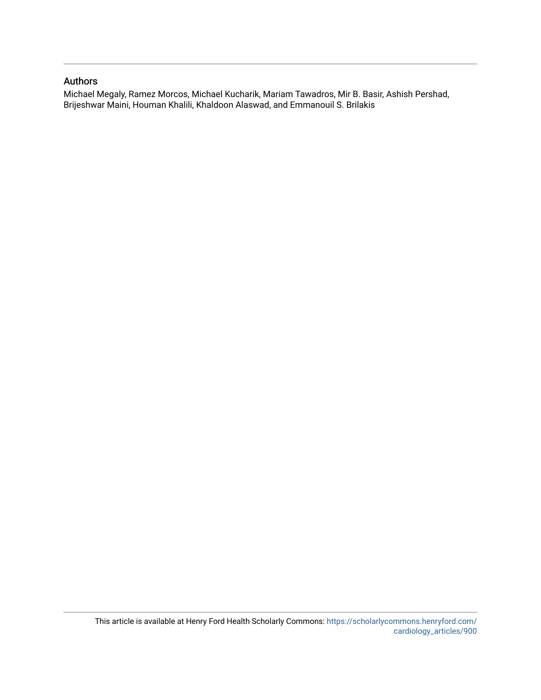### Authors

Michael Megaly, Ramez Morcos, Michael Kucharik, Mariam Tawadros, Mir B. Basir, Ashish Pershad, Brijeshwar Maini, Houman Khalili, Khaldoon Alaswad, and Emmanouil S. Brilakis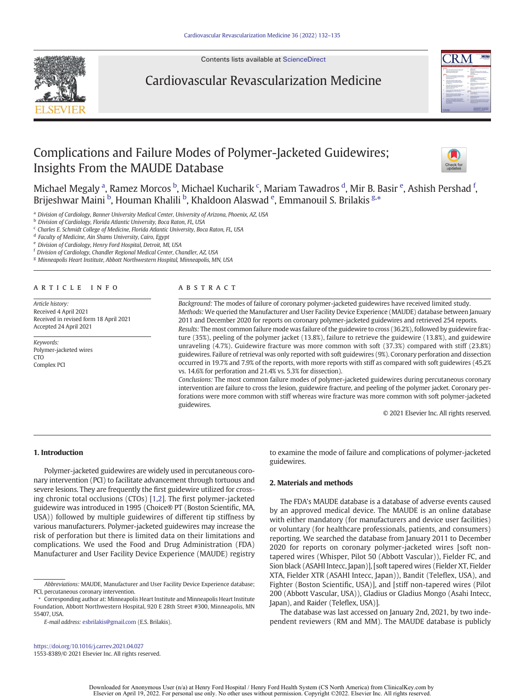

Contents lists available at [ScienceDirect](http://www.sciencedirect.com/science/journal/15538389)

### Cardiovascular Revascularization Medicine



### Complications and Failure Modes of Polymer-Jacketed Guidewires; Insights From the MAUDE Database



Michael Megaly <sup>a</sup>, Ramez Morcos <sup>b</sup>, Michael Kucharik <sup>c</sup>, Mariam Tawadros <sup>d</sup>, Mir B. Basir <sup>e</sup>, Ashish Pershad <sup>f</sup>, Brijeshwar Maini <sup>b</sup>, Houman Khalili <sup>b</sup>, Khaldoon Alaswad <sup>e</sup>, Emmanouil S. Brilakis <sup>g,</sup>\*

a Division of Cardiology, Banner University Medical Center, University of Arizona, Phoenix, AZ, USA

**b** Division of Cardiology, Florida Atlantic University, Boca Raton, FL, USA

<sup>c</sup> Charles E. Schmidt College of Medicine, Florida Atlantic University, Boca Raton, FL, USA

<sup>d</sup> Faculty of Medicine, Ain Shams University, Cairo, Egypt

<sup>e</sup> Division of Cardiology, Henry Ford Hospital, Detroit, MI, USA

<sup>f</sup> Division of Cardiology, Chandler Regional Medical Center, Chandler, AZ, USA

<sup>g</sup> Minneapolis Heart Institute, Abbott Northwestern Hospital, Minneapolis, MN, USA

#### ARTICLE INFO ABSTRACT

Article history: Received 4 April 2021 Received in revised form 18 April 2021 Accepted 24 April 2021

Keywords: Polymer-jacketed wires CTO Complex PCI

Background: The modes of failure of coronary polymer-jacketed guidewires have received limited study. Methods: We queried the Manufacturer and User Facility Device Experience (MAUDE) database between January 2011 and December 2020 for reports on coronary polymer-jacketed guidewires and retrieved 254 reports. Results: The most common failure mode was failure of the guidewire to cross (36.2%), followed by guidewire fracture (35%), peeling of the polymer jacket (13.8%), failure to retrieve the guidewire (13.8%), and guidewire unraveling (4.7%). Guidewire fracture was more common with soft (37.3%) compared with stiff (23.8%) guidewires. Failure of retrieval was only reported with soft guidewires (9%). Coronary perforation and dissection occurred in 19.7% and 7.9% of the reports, with more reports with stiff as compared with soft guidewires (45.2% vs. 14.6% for perforation and 21.4% vs. 5.3% for dissection).

Conclusions: The most common failure modes of polymer-jacketed guidewires during percutaneous coronary intervention are failure to cross the lesion, guidewire fracture, and peeling of the polymer jacket. Coronary perforations were more common with stiff whereas wire fracture was more common with soft polymer-jacketed guidewires.

© 2021 Elsevier Inc. All rights reserved.

#### 1. Introduction

Polymer-jacketed guidewires are widely used in percutaneous coronary intervention (PCI) to facilitate advancement through tortuous and severe lesions. They are frequently the first guidewire utilized for crossing chronic total occlusions (CTOs) [[1,2\]](#page-5-0). The first polymer-jacketed guidewire was introduced in 1995 (Choice® PT (Boston Scientific, MA, USA)) followed by multiple guidewires of different tip stiffness by various manufacturers. Polymer-jacketed guidewires may increase the risk of perforation but there is limited data on their limitations and complications. We used the Food and Drug Administration (FDA) Manufacturer and User Facility Device Experience (MAUDE) registry

E-mail address: [esbrilakis@gmail.com](mailto:esbrilakis@gmail.com) (E.S. Brilakis).

<https://doi.org/10.1016/j.carrev.2021.04.027> 1553-8389/© 2021 Elsevier Inc. All rights reserved. to examine the mode of failure and complications of polymer-jacketed guidewires.

#### 2. Materials and methods

The FDA's MAUDE database is a database of adverse events caused by an approved medical device. The MAUDE is an online database with either mandatory (for manufacturers and device user facilities) or voluntary (for healthcare professionals, patients, and consumers) reporting. We searched the database from January 2011 to December 2020 for reports on coronary polymer-jacketed wires [soft nontapered wires (Whisper, Pilot 50 (Abbott Vascular)), Fielder FC, and Sion black (ASAHI Intecc, Japan)], [soft tapered wires (Fielder XT, Fielder XTA, Fielder XTR (ASAHI Intecc, Japan)), Bandit (Teleflex, USA), and Fighter (Boston Scientific, USA)], and [stiff non-tapered wires (Pilot 200 (Abbott Vascular, USA)), Gladius or Gladius Mongo (Asahi Intecc, Japan), and Raider (Teleflex, USA)].

The database was last accessed on January 2nd, 2021, by two independent reviewers (RM and MM). The MAUDE database is publicly

Abbreviations: MAUDE, Manufacturer and User Facility Device Experience database; PCI, percutaneous coronary intervention.

<sup>⁎</sup> Corresponding author at: Minneapolis Heart Institute and Minneapolis Heart Institute Foundation, Abbott Northwestern Hospital, 920 E 28th Street #300, Minneapolis, MN 55407, USA.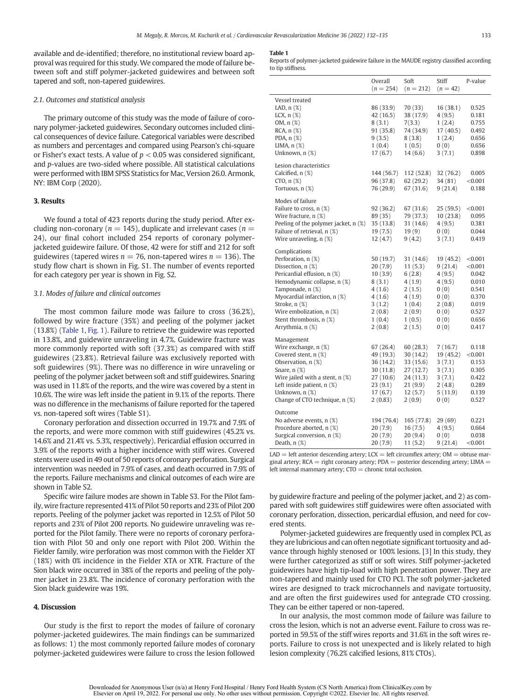available and de-identified; therefore, no institutional review board approval was required for this study. We compared the mode of failure between soft and stiff polymer-jacketed guidewires and between soft tapered and soft, non-tapered guidewires.

#### 2.1. Outcomes and statistical analysis

The primary outcome of this study was the mode of failure of coronary polymer-jacketed guidewires. Secondary outcomes included clinical consequences of device failure. Categorical variables were described as numbers and percentages and compared using Pearson's chi-square or Fisher's exact tests. A value of  $p < 0.05$  was considered significant, and p-values are two-sided where possible. All statistical calculations were performed with IBM SPSS Statistics for Mac, Version 26.0. Armonk, NY: IBM Corp (2020).

#### 3. Results

We found a total of 423 reports during the study period. After excluding non-coronary ( $n = 145$ ), duplicate and irrelevant cases ( $n =$ 24), our final cohort included 254 reports of coronary polymerjacketed guidewire failure. Of those, 42 were for stiff and 212 for soft guidewires (tapered wires  $n = 76$ , non-tapered wires  $n = 136$ ). The study flow chart is shown in Fig. S1. The number of events reported for each category per year is shown in Fig. S2.

#### 3.1. Modes of failure and clinical outcomes

The most common failure mode was failure to cross (36.2%), followed by wire fracture (35%) and peeling of the polymer jacket (13.8%) (Table 1, [Fig. 1](#page-4-0)). Failure to retrieve the guidewire was reported in 13.8%, and guidewire unraveling in 4.7%. Guidewire fracture was more commonly reported with soft (37.3%) as compared with stiff guidewires (23.8%). Retrieval failure was exclusively reported with soft guidewires (9%). There was no difference in wire unraveling or peeling of the polymer jacket between soft and stiff guidewires. Snaring was used in 11.8% of the reports, and the wire was covered by a stent in 10.6%. The wire was left inside the patient in 9.1% of the reports. There was no difference in the mechanisms of failure reported for the tapered vs. non-tapered soft wires (Table S1).

Coronary perforation and dissection occurred in 19.7% and 7.9% of the reports, and were more common with stiff guidewires (45.2% vs. 14.6% and 21.4% vs. 5.3%, respectively). Pericardial effusion occurred in 3.9% of the reports with a higher incidence with stiff wires. Covered stents were used in 49 out of 50 reports of coronary perforation. Surgical intervention was needed in 7.9% of cases, and death occurred in 7.9% of the reports. Failure mechanisms and clinical outcomes of each wire are shown in Table S2.

Specific wire failure modes are shown in Table S3. For the Pilot family, wire fracture represented 41% of Pilot 50 reports and 23% of Pilot 200 reports. Peeling of the polymer jacket was reported in 12.5% of Pilot 50 reports and 23% of Pilot 200 reports. No guidewire unraveling was reported for the Pilot family. There were no reports of coronary perforation with Pilot 50 and only one report with Pilot 200. Within the Fielder family, wire perforation was most common with the Fielder XT (18%) with 0% incidence in the Fielder XTA or XTR. Fracture of the Sion black wire occurred in 38% of the reports and peeling of the polymer jacket in 23.8%. The incidence of coronary perforation with the Sion black guidewire was 19%.

#### 4. Discussion

Our study is the first to report the modes of failure of coronary polymer-jacketed guidewires. The main findings can be summarized as follows: 1) the most commonly reported failure modes of coronary polymer-jacketed guidewires were failure to cross the lesion followed

#### Table 1

Reports of polymer-jacketed guidewire failure in the MAUDE registry classified according to tip stiffness.

|                                      | Overall<br>$(n = 254)$ | Soft<br>$(n = 212)$ | Stiff<br>$(n = 42)$ | P-value |
|--------------------------------------|------------------------|---------------------|---------------------|---------|
| Vessel treated                       |                        |                     |                     |         |
| LAD, $n$ $(\%)$                      | 86 (33.9)              | 70 (33)             | 16 (38.1)           | 0.525   |
| LCX, $n$ $(\%)$                      | 42 (16.5)              | 38 (17.9)           | 4(9.5)              | 0.181   |
| OM, n (%)                            | 8(3.1)                 | 7(3.3)              | 1(2.4)              | 0.755   |
| $RCA, n(\%)$                         | 91 (35.8)              | 74 (34.9)           | 17 (40.5)           | 0.492   |
| PDA, n (%)                           | 9(3.5)                 | 8(3.8)              | 1(2.4)              | 0.656   |
| LIMA, $n$ $(\%)$                     | 1(0.4)                 | 1(0.5)              | 0(0)                | 0.656   |
| Unknown, n (%)                       | 17(6.7)                | 14(6.6)             | 3(7.1)              | 0.898   |
| Lesion characteristics               |                        |                     |                     |         |
| Calcified, n (%)                     | 144 (56.7)             | 112 (52.8)          | 32 (76.2)           | 0.005   |
| $CTO, n({\cal X})$                   | 96 (37.8)              | 62(29.2)            | 34(81)              | < 0.001 |
| Tortuous, n (%)                      | 76 (29.9)              | 67 (31.6)           | 9(21.4)             | 0.188   |
| Modes of failure                     |                        |                     |                     |         |
| Failure to cross, n (%)              | 92 (36.2)              | 67 (31.6)           | 25(59.5)            | < 0.001 |
| Wire fracture, n (%)                 | 89 (35)                | 79 (37.3)           | 10(23.8)            | 0.095   |
| Peeling of the polymer jacket, n (%) | 35(13.8)               | 31 (14.6)           | 4(9.5)              | 0.381   |
| Failure of retrieval, n (%)          | 19(7.5)                | 19(9)               | 0(0)                | 0.044   |
| Wire unraveling, n (%)               | 12 (4.7)               | 9(4.2)              | 3(7.1)              | 0.419   |
| Complications                        |                        |                     |                     |         |
| Perforation, n (%)                   | 50 (19.7)              | 31 (14.6)           | 19 (45.2)           | < 0.001 |
| Dissection, $n$ $(\%)$               | 20 (7.9)               | 11(5.3)             | 9(21.4)             | < 0.001 |
| Pericardial effusion, n (%)          | 10(3.9)                | 6(2.8)              | 4(9.5)              | 0.042   |
| Hemodynamic collapse, n (%)          | 8(3.1)                 | 4(1.9)              | 4(9.5)              | 0.010   |
| Tamponade, n (%)                     | 4(1.6)                 | 2(1.5)              | 0(0)                | 0.541   |
| Myocardial infarction, n (%)         | 4(1.6)                 | 4(1.9)              | 0(0)                | 0.370   |
| Stroke, n (%)                        | 3(1.2)                 | 1(0.4)              | 2(0.8)              | 0.019   |
| Wire embolization, n (%)             | 2(0.8)                 | 2(0.9)              | 0(0)                | 0.527   |
| Stent thrombosis, n (%)              | 1(0.4)                 | 1(0.5)              | 0(0)                | 0.656   |
| Arrythmia, n (%)                     | 2(0.8)                 | 2(1.5)              | 0(0)                | 0.417   |
|                                      |                        |                     |                     |         |
| Management<br>Wire exchange, n (%)   | 67 (26.4)              | 60(28.3)            | 7(16.7)             | 0.118   |
| Covered stent, n (%)                 | 49 (19.3)              | 30 (14.2)           | 19 (45.2)           | < 0.001 |
| Observation, n (%)                   | 36 (14.2)              | 33 (15.6)           | 3(7.1)              | 0.153   |
| Snare, $n$ $(\%)$                    | 30 (11.8)              | 27(12.7)            | 3(7.1)              | 0.305   |
| Wire jailed with a stent, $n$ $(\%)$ | 27 (10.6)              | 24 (11.3)           | 3(7.1)              | 0.422   |
| Left inside patient, $n$ $(\%)$      | 23(9.1)                | 21(9.9)             | 2(4.8)              | 0.289   |
| Unknown, n (%)                       | 17(6.7)                | 12(5.7)             | 5(11.9)             | 0.139   |
| Change of CTO technique, n (%)       | 2(0.83)                | 2(0.9)              | 0(0)                | 0.527   |
| Outcome                              |                        |                     |                     |         |
| No adverse events, $n$ $(\%)$        | 194 (76.4)             | 165 (77.8)          | 29 (69)             | 0.221   |
| Procedure aborted, n (%)             | 20(7.9)                | 16(7.5)             | 4(9.5)              | 0.664   |
| Surgical conversion, n (%)           | 20 (7.9)               | 20(9.4)             | 0(0)                | 0.038   |
| Death, $n$ $(\%)$                    | 20 (7.9)               | 11(5.2)             | 9(21.4)             | < 0.001 |

 $LAD = left$  anterior descending artery;  $LCX = left$  circumflex artery;  $OM = obtuse$  marginal artery;  $RCA =$  right coronary artery;  $PDA =$  posterior descending artery; LIMA = left internal mammary artery;  $CTO =$  chronic total occlusion.

by guidewire fracture and peeling of the polymer jacket, and 2) as compared with soft guidewires stiff guidewires were often associated with coronary perforation, dissection, pericardial effusion, and need for covered stents.

Polymer-jacketed guidewires are frequently used in complex PCI, as they are lubricious and can often negotiate significant tortuosity and advance through highly stenosed or 100% lesions. [\[3\]](#page-5-0) In this study, they were further categorized as stiff or soft wires. Stiff polymer-jacketed guidewires have high tip-load with high penetration power. They are non-tapered and mainly used for CTO PCI. The soft polymer-jacketed wires are designed to track microchannels and navigate tortuosity, and are often the first guidewires used for antegrade CTO crossing. They can be either tapered or non-tapered.

In our analysis, the most common mode of failure was failure to cross the lesion, which is not an adverse event. Failure to cross was reported in 59.5% of the stiff wires reports and 31.6% in the soft wires reports. Failure to cross is not unexpected and is likely related to high lesion complexity (76.2% calcified lesions, 81% CTOs).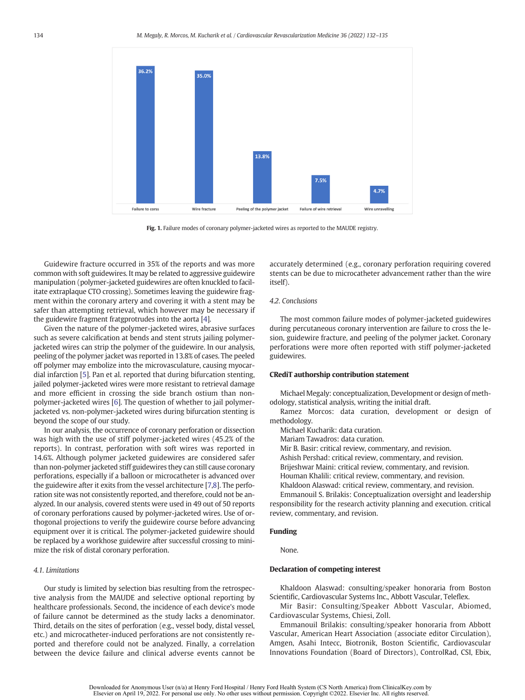<span id="page-4-0"></span>

Fig. 1. Failure modes of coronary polymer-jacketed wires as reported to the MAUDE registry.

Guidewire fracture occurred in 35% of the reports and was more common with soft guidewires. It may be related to aggressive guidewire manipulation (polymer-jacketed guidewires are often knuckled to facilitate extraplaque CTO crossing). Sometimes leaving the guidewire fragment within the coronary artery and covering it with a stent may be safer than attempting retrieval, which however may be necessary if the guidewire fragment fratgprotrudes into the aorta [[4](#page-5-0)].

Given the nature of the polymer-jacketed wires, abrasive surfaces such as severe calcification at bends and stent struts jailing polymerjacketed wires can strip the polymer of the guidewire. In our analysis, peeling of the polymer jacket was reported in 13.8% of cases. The peeled off polymer may embolize into the microvasculature, causing myocardial infarction [[5](#page-5-0)]. Pan et al. reported that during bifurcation stenting, jailed polymer-jacketed wires were more resistant to retrieval damage and more efficient in crossing the side branch ostium than nonpolymer-jacketed wires [\[6](#page-5-0)]. The question of whether to jail polymerjacketed vs. non-polymer-jacketed wires during bifurcation stenting is beyond the scope of our study.

In our analysis, the occurrence of coronary perforation or dissection was high with the use of stiff polymer-jacketed wires (45.2% of the reports). In contrast, perforation with soft wires was reported in 14.6%. Although polymer jacketed guidewires are considered safer than non-polymer jacketed stiff guidewires they can still cause coronary perforations, especially if a balloon or microcatheter is advanced over the guidewire after it exits from the vessel architecture [[7,8](#page-5-0)]. The perforation site was not consistently reported, and therefore, could not be analyzed. In our analysis, covered stents were used in 49 out of 50 reports of coronary perforations caused by polymer-jacketed wires. Use of orthogonal projections to verify the guidewire course before advancing equipment over it is critical. The polymer-jacketed guidewire should be replaced by a workhose guidewire after successful crossing to minimize the risk of distal coronary perforation.

#### 4.1. Limitations

Our study is limited by selection bias resulting from the retrospective analysis from the MAUDE and selective optional reporting by healthcare professionals. Second, the incidence of each device's mode of failure cannot be determined as the study lacks a denominator. Third, details on the sites of perforation (e.g., vessel body, distal vessel, etc.) and microcatheter-induced perforations are not consistently reported and therefore could not be analyzed. Finally, a correlation between the device failure and clinical adverse events cannot be

accurately determined (e.g., coronary perforation requiring covered stents can be due to microcatheter advancement rather than the wire itself).

#### 4.2. Conclusions

The most common failure modes of polymer-jacketed guidewires during percutaneous coronary intervention are failure to cross the lesion, guidewire fracture, and peeling of the polymer jacket. Coronary perforations were more often reported with stiff polymer-jacketed guidewires.

#### CRediT authorship contribution statement

Michael Megaly: conceptualization, Development or design of methodology, statistical analysis, writing the initial draft.

Ramez Morcos: data curation, development or design of methodology.

Michael Kucharik: data curation.

Mariam Tawadros: data curation.

Mir B. Basir: critical review, commentary, and revision.

Ashish Pershad: critical review, commentary, and revision.

Brijeshwar Maini: critical review, commentary, and revision.

- Houman Khalili: critical review, commentary, and revision.
- Khaldoon Alaswad: critical review, commentary, and revision.

Emmanouil S. Brilakis: Conceptualization oversight and leadership responsibility for the research activity planning and execution. critical review, commentary, and revision.

#### Funding

None.

#### Declaration of competing interest

Khaldoon Alaswad: consulting/speaker honoraria from Boston Scientific, Cardiovascular Systems Inc., Abbott Vascular, Teleflex.

Mir Basir: Consulting/Speaker Abbott Vascular, Abiomed, Cardiovascular Systems, Chiesi, Zoll.

Emmanouil Brilakis: consulting/speaker honoraria from Abbott Vascular, American Heart Association (associate editor Circulation), Amgen, Asahi Intecc, Biotronik, Boston Scientific, Cardiovascular Innovations Foundation (Board of Directors), ControlRad, CSI, Ebix,